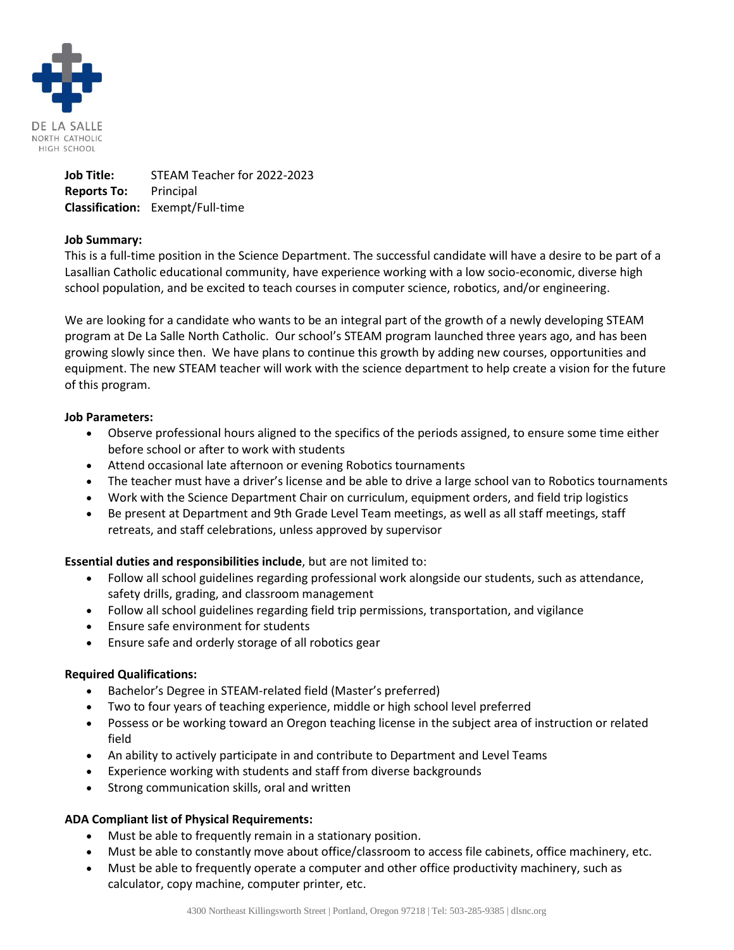

**Job Title:** STEAM Teacher for 2022-2023 **Reports To:** Principal **Classification:** Exempt/Full-time

# **Job Summary:**

This is a full-time position in the Science Department. The successful candidate will have a desire to be part of a Lasallian Catholic educational community, have experience working with a low socio-economic, diverse high school population, and be excited to teach courses in computer science, robotics, and/or engineering.

We are looking for a candidate who wants to be an integral part of the growth of a newly developing STEAM program at De La Salle North Catholic. Our school's STEAM program launched three years ago, and has been growing slowly since then. We have plans to continue this growth by adding new courses, opportunities and equipment. The new STEAM teacher will work with the science department to help create a vision for the future of this program.

### **Job Parameters:**

- Observe professional hours aligned to the specifics of the periods assigned, to ensure some time either before school or after to work with students
- Attend occasional late afternoon or evening Robotics tournaments
- The teacher must have a driver's license and be able to drive a large school van to Robotics tournaments
- Work with the Science Department Chair on curriculum, equipment orders, and field trip logistics
- Be present at Department and 9th Grade Level Team meetings, as well as all staff meetings, staff retreats, and staff celebrations, unless approved by supervisor

# **Essential duties and responsibilities include**, but are not limited to:

- Follow all school guidelines regarding professional work alongside our students, such as attendance, safety drills, grading, and classroom management
- Follow all school guidelines regarding field trip permissions, transportation, and vigilance
- Ensure safe environment for students
- Ensure safe and orderly storage of all robotics gear

# **Required Qualifications:**

- Bachelor's Degree in STEAM-related field (Master's preferred)
- Two to four years of teaching experience, middle or high school level preferred
- Possess or be working toward an Oregon teaching license in the subject area of instruction or related field
- An ability to actively participate in and contribute to Department and Level Teams
- Experience working with students and staff from diverse backgrounds
- Strong communication skills, oral and written

# **ADA Compliant list of Physical Requirements:**

- Must be able to frequently remain in a stationary position.
- Must be able to constantly move about office/classroom to access file cabinets, office machinery, etc.
- Must be able to frequently operate a computer and other office productivity machinery, such as calculator, copy machine, computer printer, etc.